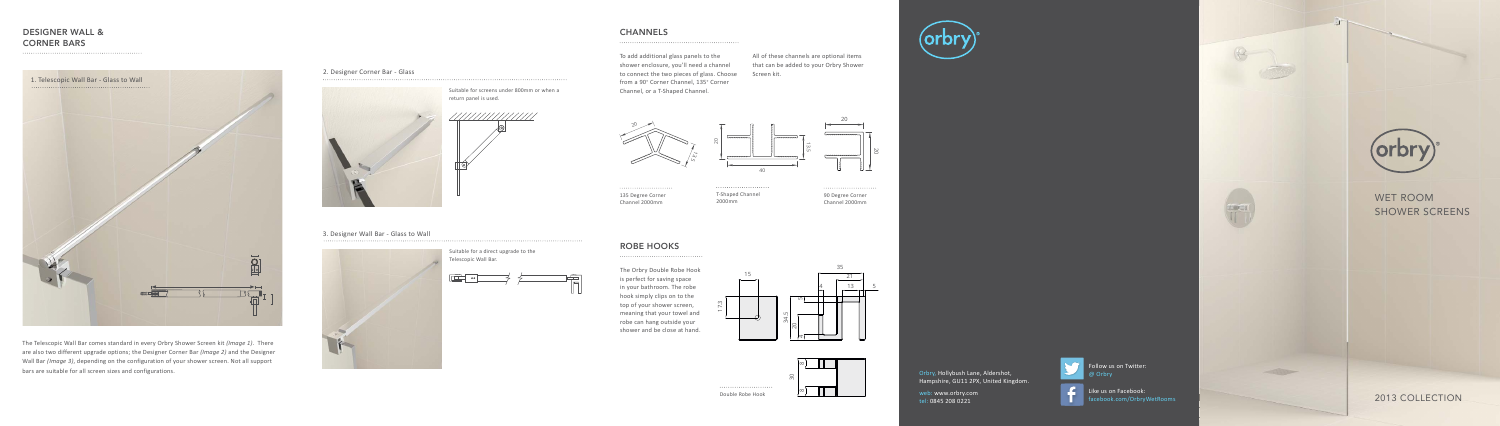## WET ROOM SHOWER SCREENS

2013 COLLECTION

## DESIGNER WALL & DESIGNER WALL & CORNER BARS CORNER BARS

The Telescopic Wall Bar comes standard in every Orbry Shower Screen kit *(Image 1)*. There The Telescopic Wall Bar comes standard in every Orbry Shower Screen kit *(Image 1)*. There are also two different upgrade options; the Designer Corner Bar *(Image 2)* and the Designer are also two different upgrade options; the Designer Corner Bar *(Image 2)* and the Designer Wall Bar *(Image 3)*, depending on the configuration of your shower screen. Not all support Wall Bar *(Image 3)*, depending on the configuration of your shower screen. Not all support bars are suitable for all screen sizes and configurations. bars are suitable for all screen sizes and configurations.

. . . . . . . . . . 135 Degree Corner Channel 2000mm

. . . . . . . . . . . T-Shaped Channel 2000mm

. . . . . . . . .

. . . . . . . . 90 Degree Corner Channel 2000mm



#### 2. Designer Corner Bar - Glass



#### 3. Designer Wall Bar - Glass to Wall



Suitable for screens under 800mm or when a return panel is used.



Suitable for a direct upgrade to the Telescopic Wall Bar.





# as salaras







20

### CHANNELS

To add additional glass panels to the shower enclosure, you'll need a channel to connect the two pieces of glass. Choose from a 90° Corner Channel, 135° Corner Channel, or a T-Shaped Channel.

All of these channels are optional items that can be added to your Orbry Shower Screen kit.





Double Robe Hook

. . . . . . . . .

## ROBE HOOKS

The Orbry Double Robe Hook is perfect for saving space in your bathroom. The robe hook simply clips on to the top of your shower screen, meaning that your towel and robe can hang outside your shower and be close at hand.

> Orbry, Hollybush Lane, Aldershot, Hampshire, GU11 2PX, United Kingdom.

web: www.orbry.com tel: 0845 208 0221



Ilow us on Twitter: **Orbry** 



Like us on Facebook: facebook.com/OrbryWetRooms